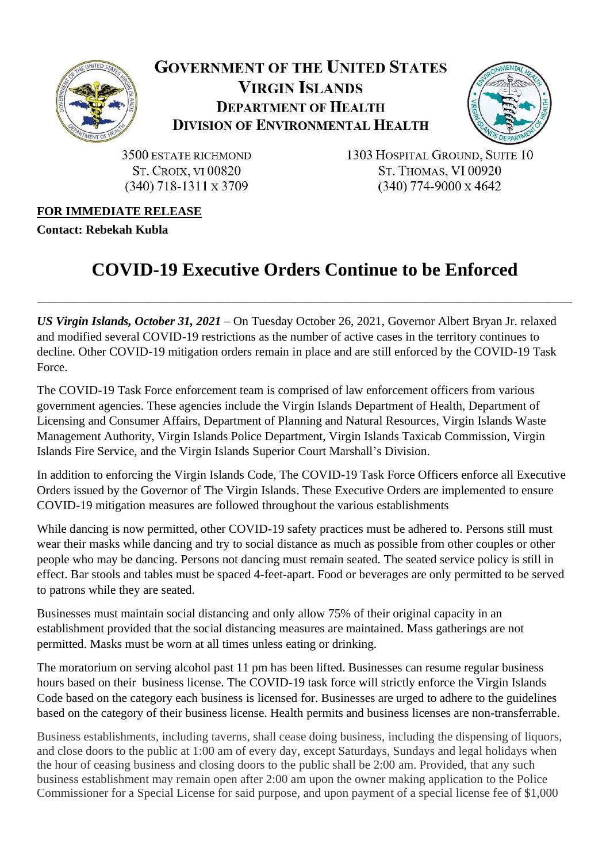

## **GOVERNMENT OF THE UNITED STATES VIRGIN ISLANDS DEPARTMENT OF HEALTH DIVISION OF ENVIRONMENTAL HEALTH**



3500 ESTATE RICHMOND **ST. CROIX, VI 00820**  $(340)$  718-1311 x 3709

1303 HOSPITAL GROUND, SUITE 10 **ST. THOMAS, VI 00920**  $(340)$  774-9000 x 4642

## **FOR IMMEDIATE RELEASE**

**Contact: Rebekah Kubla**

## **COVID-19 Executive Orders Continue to be Enforced**

\_\_\_\_\_\_\_\_\_\_\_\_\_\_\_\_\_\_\_\_\_\_\_\_\_\_\_\_\_\_\_\_\_\_\_\_\_\_\_\_\_\_\_\_\_\_\_\_\_\_\_\_\_\_\_\_\_\_\_\_\_\_\_\_\_\_\_\_\_\_\_\_\_\_\_\_\_\_\_\_\_\_\_\_\_\_\_

*US Virgin Islands, October 31, 2021* – On Tuesday October 26, 2021, Governor Albert Bryan Jr. relaxed and modified several COVID-19 restrictions as the number of active cases in the territory continues to decline. Other COVID-19 mitigation orders remain in place and are still enforced by the COVID-19 Task Force.

The COVID-19 Task Force enforcement team is comprised of law enforcement officers from various government agencies. These agencies include the Virgin Islands Department of Health, Department of Licensing and Consumer Affairs, Department of Planning and Natural Resources, Virgin Islands Waste Management Authority, Virgin Islands Police Department, Virgin Islands Taxicab Commission, Virgin Islands Fire Service, and the Virgin Islands Superior Court Marshall's Division.

In addition to enforcing the Virgin Islands Code, The COVID-19 Task Force Officers enforce all Executive Orders issued by the Governor of The Virgin Islands. These Executive Orders are implemented to ensure COVID-19 mitigation measures are followed throughout the various establishments

While dancing is now permitted, other COVID-19 safety practices must be adhered to. Persons still must wear their masks while dancing and try to social distance as much as possible from other couples or other people who may be dancing. Persons not dancing must remain seated. The seated service policy is still in effect. Bar stools and tables must be spaced 4-feet-apart. Food or beverages are only permitted to be served to patrons while they are seated.

Businesses must maintain social distancing and only allow 75% of their original capacity in an establishment provided that the social distancing measures are maintained. Mass gatherings are not permitted. Masks must be worn at all times unless eating or drinking.

The moratorium on serving alcohol past 11 pm has been lifted. Businesses can resume regular business hours based on their business license. The COVID-19 task force will strictly enforce the Virgin Islands Code based on the category each business is licensed for. Businesses are urged to adhere to the guidelines based on the category of their business license. Health permits and business licenses are non-transferrable.

Business establishments, including taverns, shall cease doing business, including the dispensing of liquors, and close doors to the public at 1:00 am of every day, except Saturdays, Sundays and legal holidays when the hour of ceasing business and closing doors to the public shall be 2:00 am. Provided, that any such business establishment may remain open after 2:00 am upon the owner making application to the Police Commissioner for a Special License for said purpose, and upon payment of a special license fee of \$1,000